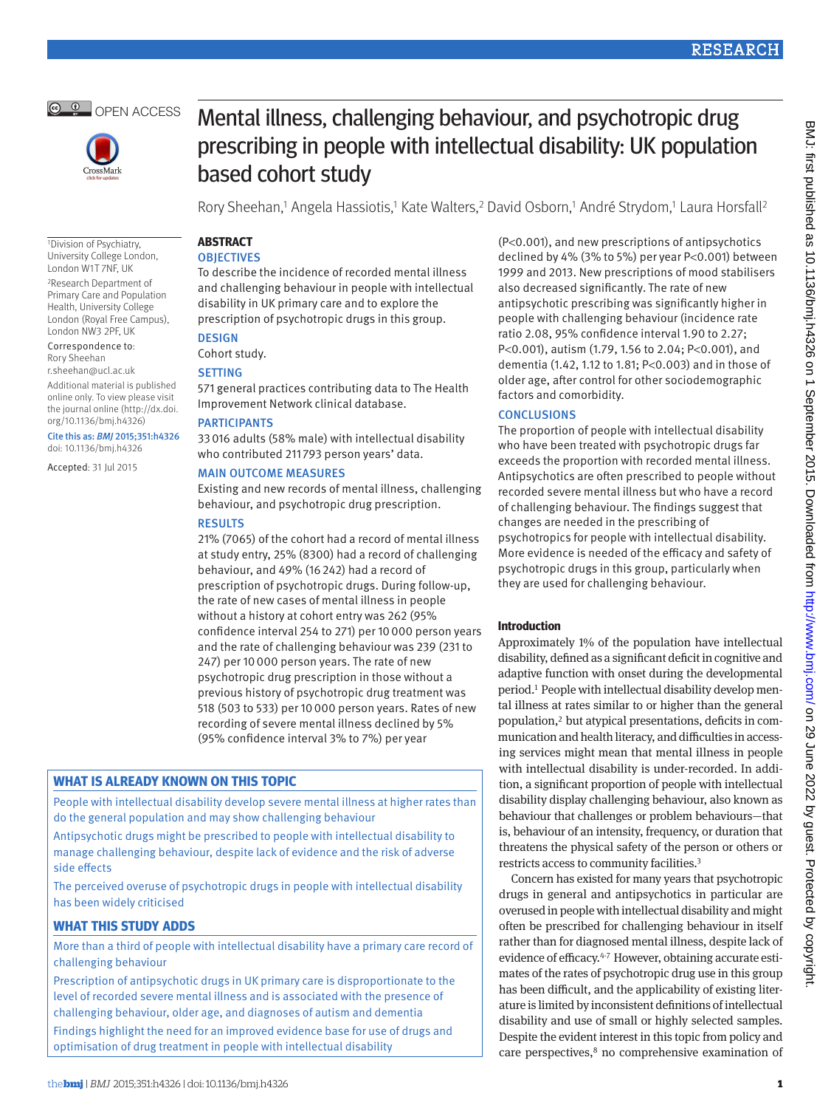



# Mental illness, challenging behaviour, and psychotropic drug prescribing in people with intellectual disability: UK population based cohort study

Rory Sheehan,<sup>1</sup> Angela Hassiotis,<sup>1</sup> Kate Walters,<sup>2</sup> David Osborn,<sup>1</sup> André Strydom,<sup>1</sup> Laura Horsfall<sup>2</sup>

#### 1Division of Psychiatry, University College London, London W1T 7NF, UK

2Research Department of Primary Care and Population Health, University College London (Royal Free Campus), London NW3 2PF, UK

#### Correspondence to: Rory Sheehan r.sheehan@ucl.ac.uk

Additional material is published online only. To view please visit the journal online (http://dx.doi. org/10.1136/bmj.h4326)

Cite this as: *BMJ* 2015;351:h4326 doi: 10.1136/bmj.h4326

Accepted: 31 Jul 2015

# **ABSTRACT**

# **OBJECTIVES**

To describe the incidence of recorded mental illness and challenging behaviour in people with intellectual disability in UK primary care and to explore the prescription of psychotropic drugs in this group.

## **DESIGN**

Cohort study.

# **SETTING**

571 general practices contributing data to The Health Improvement Network clinical database.

## **PARTICIPANTS**

33016 adults (58% male) with intellectual disability who contributed 211793 person years' data.

# **MAIN OUTCOME MEASURES**

Existing and new records of mental illness, challenging behaviour, and psychotropic drug prescription.

# **RESULTS**

21% (7065) of the cohort had a record of mental illness at study entry, 25% (8300) had a record of challenging behaviour, and 49% (16242) had a record of prescription of psychotropic drugs. During follow-up, the rate of new cases of mental illness in people without a history at cohort entry was 262 (95% confidence interval 254 to 271) per 10000 person years and the rate of challenging behaviour was 239 (231 to 247) per 10000 person years. The rate of new psychotropic drug prescription in those without a previous history of psychotropic drug treatment was 518 (503 to 533) per 10000 person years. Rates of new recording of severe mental illness declined by 5% (95% confidence interval 3% to 7%) per year

# **What is already known on this topic**

People with intellectual disability develop severe mental illness at higher rates than do the general population and may show challenging behaviour

Antipsychotic drugs might be prescribed to people with intellectual disability to manage challenging behaviour, despite lack of evidence and the risk of adverse side effects

The perceived overuse of psychotropic drugs in people with intellectual disability has been widely criticised

# **What this study adds**

More than a third of people with intellectual disability have a primary care record of challenging behaviour

Prescription of antipsychotic drugs in UK primary care is disproportionate to the level of recorded severe mental illness and is associated with the presence of challenging behaviour, older age, and diagnoses of autism and dementia Findings highlight the need for an improved evidence base for use of drugs and optimisation of drug treatment in people with intellectual disability

(P<0.001), and new prescriptions of antipsychotics declined by 4% (3% to 5%) per year P<0.001) between 1999 and 2013. New prescriptions of mood stabilisers also decreased significantly. The rate of new antipsychotic prescribing was significantly higher in people with challenging behaviour (incidence rate ratio 2.08, 95% confidence interval 1.90 to 2.27; P<0.001), autism (1.79, 1.56 to 2.04; P<0.001), and dementia (1.42, 1.12 to 1.81; P<0.003) and in those of older age, after control for other sociodemographic factors and comorbidity.

# **CONCLUSIONS**

The proportion of people with intellectual disability who have been treated with psychotropic drugs far exceeds the proportion with recorded mental illness. Antipsychotics are often prescribed to people without recorded severe mental illness but who have a record of challenging behaviour. The findings suggest that changes are needed in the prescribing of psychotropics for people with intellectual disability. More evidence is needed of the efficacy and safety of psychotropic drugs in this group, particularly when they are used for challenging behaviour.

## **Introduction**

Approximately 1% of the population have intellectual disability, defined as a significant deficit in cognitive and adaptive function with onset during the developmental period[.1](#page-8-0) People with intellectual disability develop mental illness at rates similar to or higher than the general population[,2](#page-8-1) but atypical presentations, deficits in communication and health literacy, and difficulties in accessing services might mean that mental illness in people with intellectual disability is under-recorded. In addition, a significant proportion of people with intellectual disability display challenging behaviour, also known as behaviour that challenges or problem behaviours—that is, behaviour of an intensity, frequency, or duration that threatens the physical safety of the person or others or restricts access to community facilities.[3](#page-8-2)

Concern has existed for many years that psychotropic drugs in general and antipsychotics in particular are overused in people with intellectual disability and might often be prescribed for challenging behaviour in itself rather than for diagnosed mental illness, despite lack of evidence of efficacy[.4](#page-8-3)-[7](#page-8-4) However, obtaining accurate estimates of the rates of psychotropic drug use in this group has been difficult, and the applicability of existing literature is limited by inconsistent definitions of intellectual disability and use of small or highly selected samples. Despite the evident interest in this topic from policy and care perspectives,<sup>8</sup> no comprehensive examination of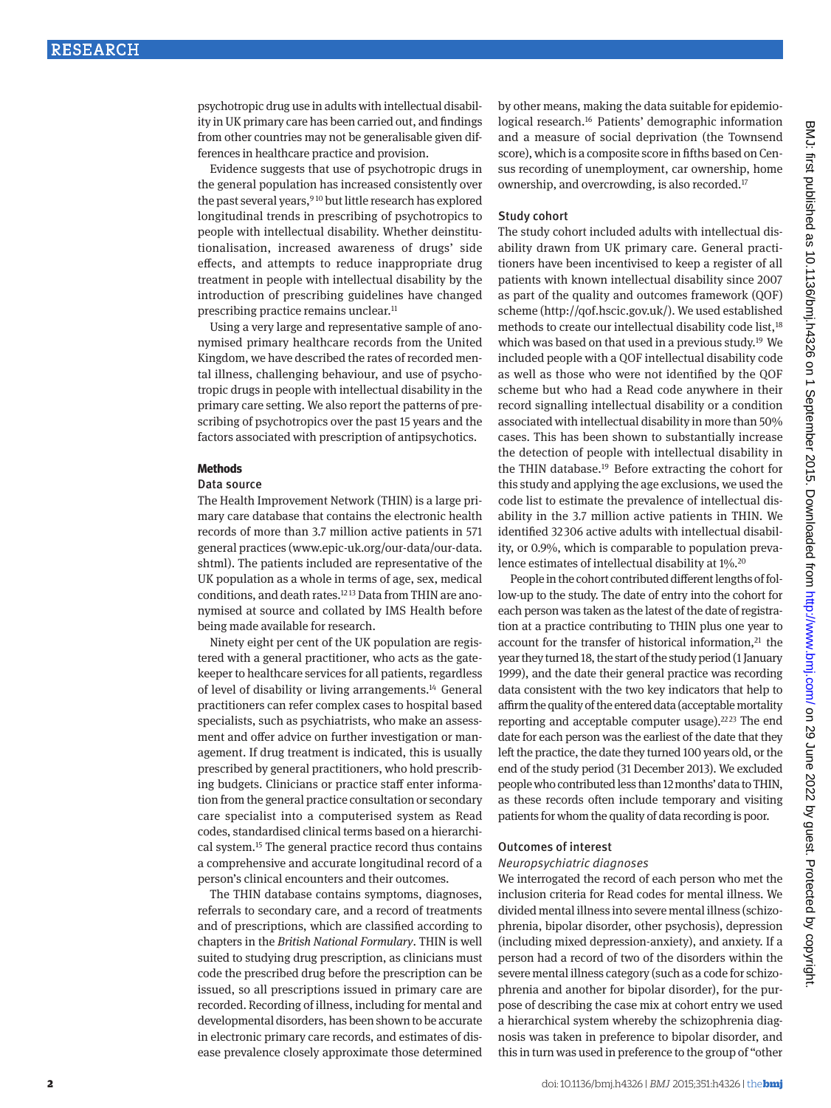psychotropic drug use in adults with intellectual disability in UK primary care has been carried out, and findings from other countries may not be generalisable given differences in healthcare practice and provision.

Evidence suggests that use of psychotropic drugs in the general population has increased consistently over the past several years, 9[10](#page-8-7) but little research has explored longitudinal trends in prescribing of psychotropics to people with intellectual disability. Whether deinstitutionalisation, increased awareness of drugs' side effects, and attempts to reduce inappropriate drug treatment in people with intellectual disability by the introduction of prescribing guidelines have changed prescribing practice remains unclear.<sup>11</sup>

Using a very large and representative sample of anonymised primary healthcare records from the United Kingdom, we have described the rates of recorded mental illness, challenging behaviour, and use of psychotropic drugs in people with intellectual disability in the primary care setting. We also report the patterns of prescribing of psychotropics over the past 15 years and the factors associated with prescription of antipsychotics.

#### **Methods**

#### Data source

The Health Improvement Network (THIN) is a large primary care database that contains the electronic health records of more than 3.7 million active patients in 571 general practices ([www.epic-uk.org/our-data/our-data.](http://www.epic-uk.org/our-data/our-data.shtml) [shtml](http://www.epic-uk.org/our-data/our-data.shtml)). The patients included are representative of the UK population as a whole in terms of age, sex, medical conditions, and death rates[.12](#page-8-9) [13](#page-8-10) Data from THIN are anonymised at source and collated by IMS Health before being made available for research.

Ninety eight per cent of the UK population are registered with a general practitioner, who acts as the gatekeeper to healthcare services for all patients, regardless of level of disability or living arrangements.[14](#page-8-11) General practitioners can refer complex cases to hospital based specialists, such as psychiatrists, who make an assessment and offer advice on further investigation or management. If drug treatment is indicated, this is usually prescribed by general practitioners, who hold prescribing budgets. Clinicians or practice staff enter information from the general practice consultation or secondary care specialist into a computerised system as Read codes, standardised clinical terms based on a hierarchical system[.15](#page-8-12) The general practice record thus contains a comprehensive and accurate longitudinal record of a person's clinical encounters and their outcomes.

The THIN database contains symptoms, diagnoses, referrals to secondary care, and a record of treatments and of prescriptions, which are classified according to chapters in the *British National Formulary*. THIN is well suited to studying drug prescription, as clinicians must code the prescribed drug before the prescription can be issued, so all prescriptions issued in primary care are recorded. Recording of illness, including for mental and developmental disorders, has been shown to be accurate in electronic primary care records, and estimates of disease prevalence closely approximate those determined by other means, making the data suitable for epidemiological research[.16](#page-8-13) Patients' demographic information and a measure of social deprivation (the Townsend score), which is a composite score in fifths based on Census recording of unemployment, car ownership, home ownership, and overcrowding, is also recorded.[17](#page-8-14)

#### Study cohort

The study cohort included adults with intellectual disability drawn from UK primary care. General practitioners have been incentivised to keep a register of all patients with known intellectual disability since 2007 as part of the quality and outcomes framework (QOF) scheme [\(http://qof.hscic.gov.uk/\)](http://qof.hscic.gov.uk/). We used established methods to create our intellectual disability code list,<sup>[18](#page-8-15)</sup> which was based on that used in a previous study.[19](#page-8-16) We included people with a QOF intellectual disability code as well as those who were not identified by the QOF scheme but who had a Read code anywhere in their record signalling intellectual disability or a condition associated with intellectual disability in more than 50% cases. This has been shown to substantially increase the detection of people with intellectual disability in the THIN database[.19](#page-8-16) Before extracting the cohort for this study and applying the age exclusions, we used the code list to estimate the prevalence of intellectual disability in the 3.7 million active patients in THIN. We identified 32 306 active adults with intellectual disability, or 0.9%, which is comparable to population prevalence estimates of intellectual disability at 1%.[20](#page-8-17)

People in the cohort contributed different lengths of follow-up to the study. The date of entry into the cohort for each person was taken as the latest of the date of registration at a practice contributing to THIN plus one year to account for the transfer of historical information, $21$  the year they turned 18, the start of the study period (1 January 1999), and the date their general practice was recording data consistent with the two key indicators that help to affirm the quality of the entered data (acceptable mortality reporting and acceptable computer usage). $2223$  $2223$  The end date for each person was the earliest of the date that they left the practice, the date they turned 100 years old, or the end of the study period (31 December 2013). We excluded people who contributed less than 12 months' data to THIN, as these records often include temporary and visiting patients for whom the quality of data recording is poor.

#### Outcomes of interest

#### *Neuropsychiatric diagnoses*

We interrogated the record of each person who met the inclusion criteria for Read codes for mental illness. We divided mental illness into severe mental illness (schizophrenia, bipolar disorder, other psychosis), depression (including mixed depression-anxiety), and anxiety. If a person had a record of two of the disorders within the severe mental illness category (such as a code for schizophrenia and another for bipolar disorder), for the purpose of describing the case mix at cohort entry we used a hierarchical system whereby the schizophrenia diagnosis was taken in preference to bipolar disorder, and this in turn was used in preference to the group of "other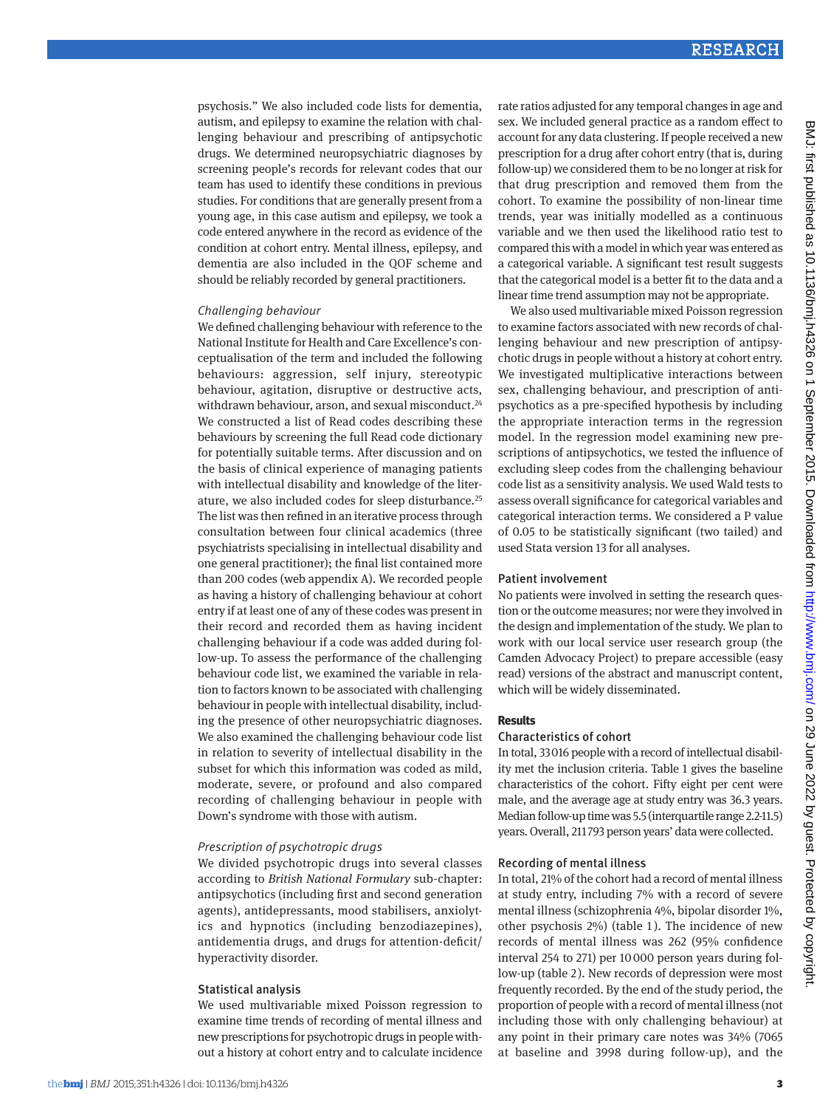psychosis." We also included code lists for dementia, autism, and epilepsy to examine the relation with challenging behaviour and prescribing of antipsychotic drugs. We determined neuropsychiatric diagnoses by screening people's records for relevant codes that our team has used to identify these conditions in previous studies. For conditions that are generally present from a young age, in this case autism and epilepsy, we took a code entered anywhere in the record as evidence of the condition at cohort entry. Mental illness, epilepsy, and dementia are also included in the QOF scheme and should be reliably recorded by general practitioners.

#### *Challenging behaviour*

We defined challenging behaviour with reference to the National Institute for Health and Care Excellence's conceptualisation of the term and included the following behaviours: aggression, self injury, stereotypic behaviour, agitation, disruptive or destructive acts, withdrawn behaviour, arson, and sexual misconduct.<sup>24</sup> We constructed a list of Read codes describing these behaviours by screening the full Read code dictionary for potentially suitable terms. After discussion and on the basis of clinical experience of managing patients with intellectual disability and knowledge of the literature, we also included codes for sleep disturbance[.25](#page-8-22) The list was then refined in an iterative process through consultation between four clinical academics (three psychiatrists specialising in intellectual disability and one general practitioner); the final list contained more than 200 codes (web appendix A). We recorded people as having a history of challenging behaviour at cohort entry if at least one of any of these codes was present in their record and recorded them as having incident challenging behaviour if a code was added during follow-up. To assess the performance of the challenging behaviour code list, we examined the variable in relation to factors known to be associated with challenging behaviour in people with intellectual disability, including the presence of other neuropsychiatric diagnoses. We also examined the challenging behaviour code list in relation to severity of intellectual disability in the subset for which this information was coded as mild, moderate, severe, or profound and also compared recording of challenging behaviour in people with Down's syndrome with those with autism.

### *Prescription of psychotropic drugs*

We divided psychotropic drugs into several classes according to *British National Formulary* sub-chapter: antipsychotics (including first and second generation agents), antidepressants, mood stabilisers, anxiolytics and hypnotics (including benzodiazepines), antidementia drugs, and drugs for attention-deficit/ hyperactivity disorder.

## Statistical analysis

We used multivariable mixed Poisson regression to examine time trends of recording of mental illness and new prescriptions for psychotropic drugs in people without a history at cohort entry and to calculate incidence rate ratios adjusted for any temporal changes in age and sex. We included general practice as a random effect to account for any data clustering. If people received a new prescription for a drug after cohort entry (that is, during follow-up) we considered them to be no longer at risk for that drug prescription and removed them from the cohort. To examine the possibility of non-linear time trends, year was initially modelled as a continuous variable and we then used the likelihood ratio test to compared this with a model in which year was entered as a categorical variable. A significant test result suggests that the categorical model is a better fit to the data and a linear time trend assumption may not be appropriate.

We also used multivariable mixed Poisson regression to examine factors associated with new records of challenging behaviour and new prescription of antipsychotic drugs in people without a history at cohort entry. We investigated multiplicative interactions between sex, challenging behaviour, and prescription of antipsychotics as a pre-specified hypothesis by including the appropriate interaction terms in the regression model. In the regression model examining new prescriptions of antipsychotics, we tested the influence of excluding sleep codes from the challenging behaviour code list as a sensitivity analysis. We used Wald tests to assess overall significance for categorical variables and categorical interaction terms. We considered a P value of 0.05 to be statistically significant (two tailed) and used Stata version 13 for all analyses.

## Patient involvement

No patients were involved in setting the research question or the outcome measures; nor were they involved in the design and implementation of the study. We plan to work with our local service user research group (the Camden Advocacy Project) to prepare accessible (easy read) versions of the abstract and manuscript content, which will be widely disseminated.

## **Results**

## Characteristics of cohort

In total, 33016 people with a record of intellectual disability met the inclusion criteria. Table 1 gives the baseline characteristics of the cohort. Fifty eight per cent were male, and the average age at study entry was 36.3 years. Median follow-up time was 5.5 (interquartile range 2.2-11.5) years. Overall, 211793 person years' data were collected.

## Recording of mental illness

In total, 21% of the cohort had a record of mental illness at study entry, including 7% with a record of severe mental illness (schizophrenia 4%, bipolar disorder 1%, other psychosis 2%) (table 1). The incidence of new records of mental illness was 262 (95% confidence interval 254 to 271) per 10000 person years during follow-up (table 2). New records of depression were most frequently recorded. By the end of the study period, the proportion of people with a record of mental illness (not including those with only challenging behaviour) at any point in their primary care notes was 34% (7065 at baseline and 3998 during follow-up), and the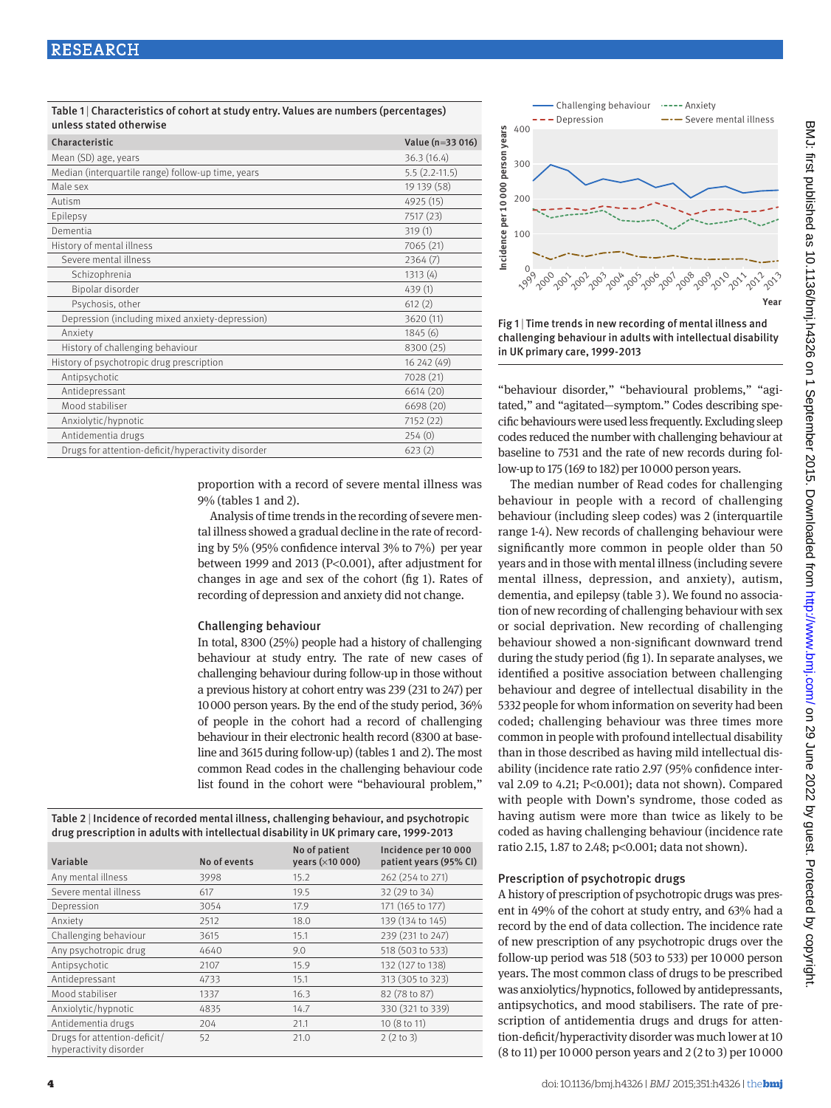#### Table 1 | Characteristics of cohort at study entry. Values are numbers (percentages) unless stated otherwise

| Characteristic                                     | Value (n=33 016) |
|----------------------------------------------------|------------------|
| Mean (SD) age, years                               | 36.3(16.4)       |
| Median (interquartile range) follow-up time, years | $5.5(2.2-11.5)$  |
| Male sex                                           | 19 139 (58)      |
| Autism                                             | 4925 (15)        |
| Epilepsy                                           | 7517 (23)        |
| Dementia                                           | 319(1)           |
| History of mental illness                          | 7065 (21)        |
| Severe mental illness                              | 2364(7)          |
| Schizophrenia                                      | 1313(4)          |
| Bipolar disorder                                   | 439(1)           |
| Psychosis, other                                   | 612(2)           |
| Depression (including mixed anxiety-depression)    | 3620 (11)        |
| Anxiety                                            | 1845(6)          |
| History of challenging behaviour                   | 8300 (25)        |
| History of psychotropic drug prescription          | 16 242 (49)      |
| Antipsychotic                                      | 7028 (21)        |
| Antidepressant                                     | 6614(20)         |
| Mood stabiliser                                    | 6698 (20)        |
| Anxiolytic/hypnotic                                | 7152 (22)        |
| Antidementia drugs                                 | 254(0)           |
| Drugs for attention-deficit/hyperactivity disorder | 623(2)           |
|                                                    |                  |

proportion with a record of severe mental illness was 9% (tables 1 and 2).

Analysis of time trends in the recording of severe mental illness showed a gradual decline in the rate of recording by 5% (95% confidence interval 3% to 7%) per year between 1999 and 2013 (P<0.001), after adjustment for changes in age and sex of the cohort (fig 1). Rates of recording of depression and anxiety did not change.

## Challenging behaviour

In total, 8300 (25%) people had a history of challenging behaviour at study entry. The rate of new cases of challenging behaviour during follow-up in those without a previous history at cohort entry was 239 (231 to 247) per 10000 person years. By the end of the study period, 36% of people in the cohort had a record of challenging behaviour in their electronic health record (8300 at baseline and 3615 during follow-up) (tables 1 and 2). The most common Read codes in the challenging behaviour code list found in the cohort were "behavioural problem,"

Table 2 | Incidence of recorded mental illness, challenging behaviour, and psychotropic drug prescription in adults with intellectual disability in UK primary care, 1999-2013

| Variable                                               | No of events | No of patient<br>vears $(x10000)$ | Incidence per 10 000<br>patient years (95% CI) |
|--------------------------------------------------------|--------------|-----------------------------------|------------------------------------------------|
| Any mental illness                                     | 3998         | 15.2                              | 262 (254 to 271)                               |
| Severe mental illness                                  | 617          | 19.5                              | 32 (29 to 34)                                  |
| Depression                                             | 3054         | 17.9                              | 171 (165 to 177)                               |
| Anxiety                                                | 2512         | 18.0                              | 139 (134 to 145)                               |
| Challenging behaviour                                  | 3615         | 15.1                              | 239 (231 to 247)                               |
| Any psychotropic drug                                  | 4640         | 9.0                               | 518 (503 to 533)                               |
| Antipsychotic                                          | 2107         | 15.9                              | 132 (127 to 138)                               |
| Antidepressant                                         | 4733         | 15.1                              | 313 (305 to 323)                               |
| Mood stabiliser                                        | 1337         | 16.3                              | 82 (78 to 87)                                  |
| Anxiolytic/hypnotic                                    | 4835         | 14.7                              | 330 (321 to 339)                               |
| Antidementia drugs                                     | 204          | 21.1                              | 10 (8 to 11)                                   |
| Drugs for attention-deficit/<br>hyperactivity disorder | 52           | 21.0                              | 2(2 to 3)                                      |



Fig 1 | Time trends in new recording of mental illness and challenging behaviour in adults with intellectual disability in UK primary care, 1999-2013

"behaviour disorder," "behavioural problems," "agitated," and "agitated—symptom." Codes describing specific behaviours were used less frequently. Excluding sleep codes reduced the number with challenging behaviour at baseline to 7531 and the rate of new records during follow-up to 175 (169 to 182) per 10000 person years.

The median number of Read codes for challenging behaviour in people with a record of challenging behaviour (including sleep codes) was 2 (interquartile range 1-4). New records of challenging behaviour were significantly more common in people older than 50 years and in those with mental illness (including severe mental illness, depression, and anxiety), autism, dementia, and epilepsy (table 3 ). We found no association of new recording of challenging behaviour with sex or social deprivation. New recording of challenging behaviour showed a non-significant downward trend during the study period (fig 1). In separate analyses, we identified a positive association between challenging behaviour and degree of intellectual disability in the 5332 people for whom information on severity had been coded; challenging behaviour was three times more common in people with profound intellectual disability than in those described as having mild intellectual disability (incidence rate ratio 2.97 (95% confidence interval 2.09 to 4.21; P<0.001); data not shown). Compared with people with Down's syndrome, those coded as having autism were more than twice as likely to be coded as having challenging behaviour (incidence rate ratio 2.15, 1.87 to 2.48; p<0.001; data not shown).

## Prescription of psychotropic drugs

A history of prescription of psychotropic drugs was present in 49% of the cohort at study entry, and 63% had a record by the end of data collection. The incidence rate of new prescription of any psychotropic drugs over the follow-up period was 518 (503 to 533) per 10000 person years. The most common class of drugs to be prescribed was anxiolytics/hypnotics, followed by antidepressants, antipsychotics, and mood stabilisers. The rate of prescription of antidementia drugs and drugs for attention-deficit/hyperactivity disorder was much lower at 10 (8 to 11) per 10000 person years and 2 (2 to 3) per 10000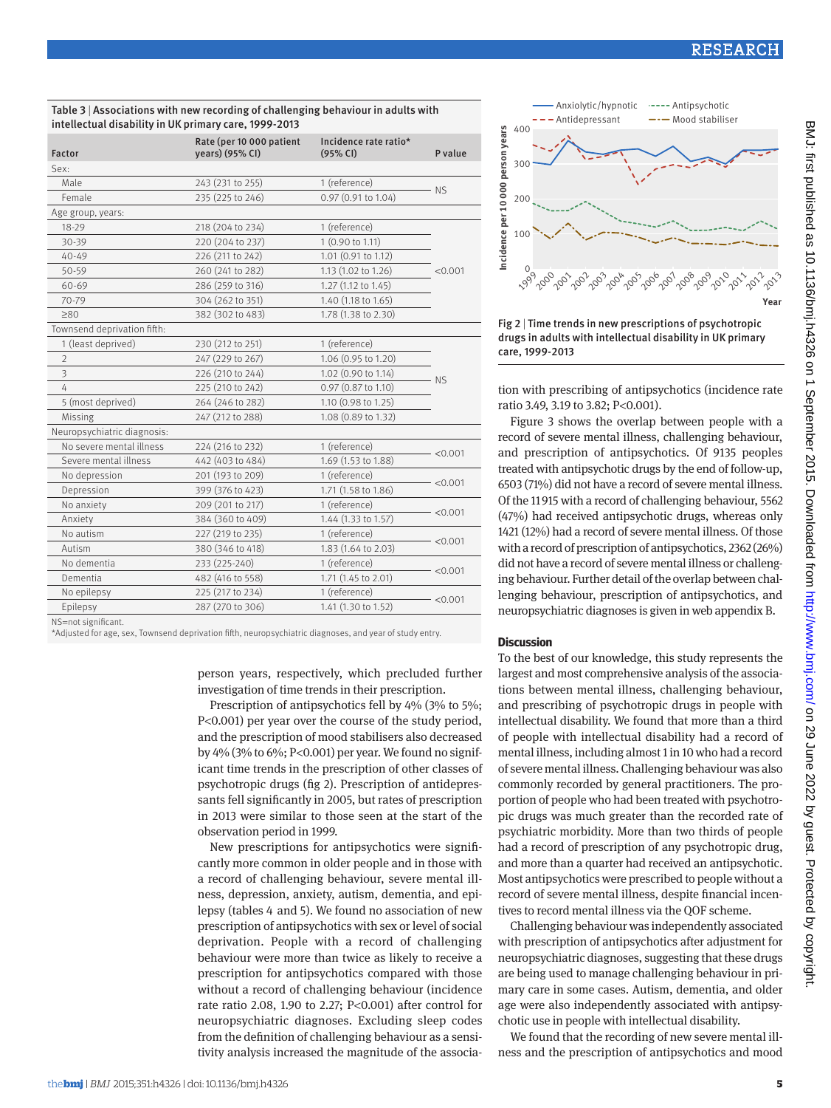#### Table 3 | Associations with new recording of challenging behaviour in adults with intellectual disability in UK primary care, 1999-2013

| <b>Factor</b>               | Rate (per 10 000 patient<br>vears) (95% CI) | Incidence rate ratio*<br>(95% CI) | P value   |  |  |  |
|-----------------------------|---------------------------------------------|-----------------------------------|-----------|--|--|--|
| Sex:                        |                                             |                                   |           |  |  |  |
| Male                        | 243 (231 to 255)                            | 1 (reference)                     | <b>NS</b> |  |  |  |
| Female                      | 235 (225 to 246)                            | 0.97 (0.91 to 1.04)               |           |  |  |  |
| Age group, years:           |                                             |                                   |           |  |  |  |
| 18-29                       | 218 (204 to 234)                            | 1 (reference)                     |           |  |  |  |
| $30 - 39$                   | 220 (204 to 237)                            | 1 (0.90 to 1.11)                  |           |  |  |  |
| 40-49                       | 226 (211 to 242)                            | 1.01 (0.91 to 1.12)               |           |  |  |  |
| 50-59                       | 260 (241 to 282)                            | 1.13 (1.02 to 1.26)               | < 0.001   |  |  |  |
| 60-69                       | 286 (259 to 316)                            | 1.27 (1.12 to 1.45)               |           |  |  |  |
| 70-79                       | 304 (262 to 351)                            | 1.40 (1.18 to 1.65)               |           |  |  |  |
| $\geq 80$                   | 382 (302 to 483)                            | 1.78 (1.38 to 2.30)               |           |  |  |  |
| Townsend deprivation fifth: |                                             |                                   |           |  |  |  |
| 1 (least deprived)          | 230 (212 to 251)                            | 1 (reference)                     |           |  |  |  |
| $\mathfrak{D}$              | 247 (229 to 267)                            | 1.06 (0.95 to 1.20)               |           |  |  |  |
| 3                           | 226 (210 to 244)                            | 1.02 (0.90 to 1.14)               |           |  |  |  |
| 4                           | 225 (210 to 242)                            | 0.97 (0.87 to 1.10)               | <b>NS</b> |  |  |  |
| 5 (most deprived)           | 264 (246 to 282)                            | 1.10 (0.98 to 1.25)               |           |  |  |  |
| Missing                     | 247 (212 to 288)                            | 1.08 (0.89 to 1.32)               |           |  |  |  |
| Neuropsychiatric diagnosis: |                                             |                                   |           |  |  |  |
| No severe mental illness    | 224 (216 to 232)                            | 1 (reference)                     | < 0.001   |  |  |  |
| Severe mental illness       | 442 (403 to 484)                            | 1.69 (1.53 to 1.88)               |           |  |  |  |
| No depression               | 201 (193 to 209)                            | 1 (reference)                     | < 0.001   |  |  |  |
| Depression                  | 399 (376 to 423)                            | 1.71 (1.58 to 1.86)               |           |  |  |  |
| No anxiety                  | 209 (201 to 217)                            | 1 (reference)                     | < 0.001   |  |  |  |
| Anxiety                     | 384 (360 to 409)                            | 1.44 (1.33 to 1.57)               |           |  |  |  |
| No autism                   | 227 (219 to 235)                            | 1 (reference)                     | < 0.001   |  |  |  |
| Autism                      | 380 (346 to 418)                            | 1.83 (1.64 to 2.03)               |           |  |  |  |
| No dementia                 | 233 (225-240)                               | 1 (reference)                     | < 0.001   |  |  |  |
| Dementia                    | 482 (416 to 558)                            | 1.71 (1.45 to 2.01)               |           |  |  |  |
| No epilepsy                 | 225 (217 to 234)                            | 1 (reference)                     | < 0.001   |  |  |  |
| Epilepsy                    | 287 (270 to 306)                            | 1.41 (1.30 to 1.52)               |           |  |  |  |
| $NC$ - not cignificant      |                                             |                                   |           |  |  |  |

NS=not significant.

\*Adjusted for age, sex, Townsend deprivation fifth, neuropsychiatric diagnoses, and year of study entry.

person years, respectively, which precluded further investigation of time trends in their prescription.

Prescription of antipsychotics fell by 4% (3% to 5%; P<0.001) per year over the course of the study period, and the prescription of mood stabilisers also decreased by 4% (3% to 6%; P<0.001) per year. We found no significant time trends in the prescription of other classes of psychotropic drugs (fig 2). Prescription of antidepressants fell significantly in 2005, but rates of prescription in 2013 were similar to those seen at the start of the observation period in 1999.

New prescriptions for antipsychotics were significantly more common in older people and in those with a record of challenging behaviour, severe mental illness, depression, anxiety, autism, dementia, and epilepsy (tables 4 and 5). We found no association of new prescription of antipsychotics with sex or level of social deprivation. People with a record of challenging behaviour were more than twice as likely to receive a prescription for antipsychotics compared with those without a record of challenging behaviour (incidence rate ratio 2.08, 1.90 to 2.27; P<0.001) after control for neuropsychiatric diagnoses. Excluding sleep codes from the definition of challenging behaviour as a sensitivity analysis increased the magnitude of the associa-



Fig 2 | Time trends in new prescriptions of psychotropic drugs in adults with intellectual disability in UK primary care, 1999-2013

tion with prescribing of antipsychotics (incidence rate ratio 3.49, 3.19 to 3.82; P<0.001).

Figure 3 shows the overlap between people with a record of severe mental illness, challenging behaviour, and prescription of antipsychotics. Of 9135 peoples treated with antipsychotic drugs by the end of follow-up, 6503 (71%) did not have a record of severe mental illness. Of the 11915 with a record of challenging behaviour, 5562 (47%) had received antipsychotic drugs, whereas only 1421 (12%) had a record of severe mental illness. Of those with a record of prescription of antipsychotics, 2362 (26%) did not have a record of severe mental illness or challenging behaviour. Further detail of the overlap between challenging behaviour, prescription of antipsychotics, and neuropsychiatric diagnoses is given in web appendix B.

## **Discussion**

To the best of our knowledge, this study represents the largest and most comprehensive analysis of the associations between mental illness, challenging behaviour, and prescribing of psychotropic drugs in people with intellectual disability. We found that more than a third of people with intellectual disability had a record of mental illness, including almost 1 in 10 who had a record of severe mental illness. Challenging behaviour was also commonly recorded by general practitioners. The proportion of people who had been treated with psychotropic drugs was much greater than the recorded rate of psychiatric morbidity. More than two thirds of people had a record of prescription of any psychotropic drug, and more than a quarter had received an antipsychotic. Most antipsychotics were prescribed to people without a record of severe mental illness, despite financial incentives to record mental illness via the QOF scheme.

Challenging behaviour was independently associated with prescription of antipsychotics after adjustment for neuropsychiatric diagnoses, suggesting that these drugs are being used to manage challenging behaviour in primary care in some cases. Autism, dementia, and older age were also independently associated with antipsychotic use in people with intellectual disability.

We found that the recording of new severe mental illness and the prescription of antipsychotics and mood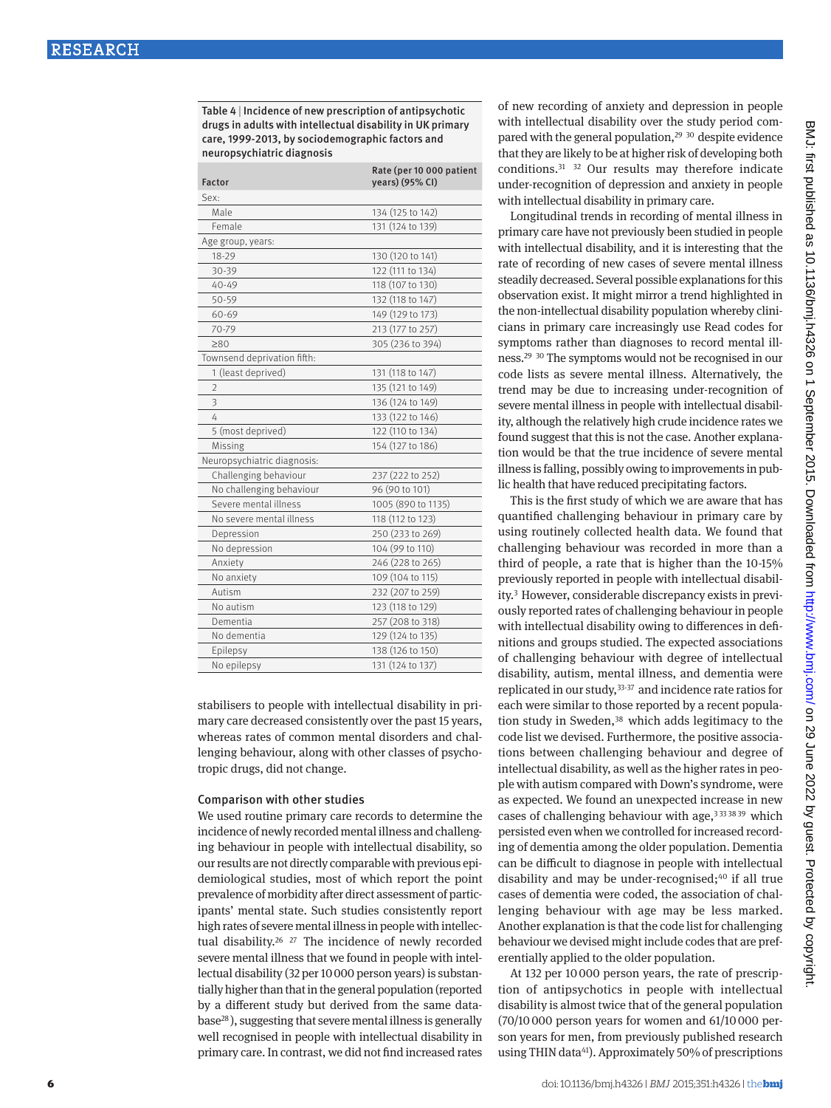Table 4 | Incidence of new prescription of antipsychotic drugs in adults with intellectual disability in UK primary care, 1999-2013, by sociodemographic factors and neuropsychiatric diagnosis

| <b>Factor</b>               | Rate (per 10 000 patient<br>years) (95% CI) |
|-----------------------------|---------------------------------------------|
| Sex:                        |                                             |
| Male                        | 134 (125 to 142)                            |
| Female                      | 131 (124 to 139)                            |
| Age group, years:           |                                             |
| 18-29                       | 130 (120 to 141)                            |
| 30-39                       | 122 (111 to 134)                            |
| 40-49                       | 118 (107 to 130)                            |
| 50-59                       | 132 (118 to 147)                            |
| 60-69                       | 149 (129 to 173)                            |
| 70-79                       | 213 (177 to 257)                            |
| >80                         | 305 (236 to 394)                            |
| Townsend deprivation fifth: |                                             |
| 1 (least deprived)          | 131 (118 to 147)                            |
| $\overline{2}$              | 135 (121 to 149)                            |
| 3                           | 136 (124 to 149)                            |
| 4                           | 133 (122 to 146)                            |
| 5 (most deprived)           | 122 (110 to 134)                            |
| Missing                     | 154 (127 to 186)                            |
| Neuropsychiatric diagnosis: |                                             |
| Challenging behaviour       | 237 (222 to 252)                            |
| No challenging behaviour    | 96 (90 to 101)                              |
| Severe mental illness       | 1005 (890 to 1135)                          |
| No severe mental illness    | 118 (112 to 123)                            |
| Depression                  | 250 (233 to 269)                            |
| No depression               | 104 (99 to 110)                             |
| Anxiety                     | 246 (228 to 265)                            |
| No anxiety                  | 109 (104 to 115)                            |
| Autism                      | 232 (207 to 259)                            |
| No autism                   | 123 (118 to 129)                            |
| Dementia                    | 257 (208 to 318)                            |
| No dementia                 | 129 (124 to 135)                            |
| Epilepsy                    | 138 (126 to 150)                            |
| No epilepsy                 | 131 (124 to 137)                            |

stabilisers to people with intellectual disability in primary care decreased consistently over the past 15 years, whereas rates of common mental disorders and challenging behaviour, along with other classes of psychotropic drugs, did not change.

#### Comparison with other studies

We used routine primary care records to determine the incidence of newly recorded mental illness and challenging behaviour in people with intellectual disability, so our results are not directly comparable with previous epidemiological studies, most of which report the point prevalence of morbidity after direct assessment of participants' mental state. Such studies consistently report high rates of severe mental illness in people with intellectual disability[.26](#page-8-23) [27](#page-8-24) The incidence of newly recorded severe mental illness that we found in people with intellectual disability (32 per 10000 person years) is substantially higher than that in the general population (reported by a different study but derived from the same databas[e28](#page-8-25) ), suggesting that severe mental illness is generally well recognised in people with intellectual disability in primary care. In contrast, we did not find increased rates

of new recording of anxiety and depression in people with intellectual disability over the study period compared with the general population,[29](#page-8-26) [30](#page-8-27) despite evidence that they are likely to be at higher risk of developing both conditions[.31](#page-8-28) [32](#page-8-29) Our results may therefore indicate under-recognition of depression and anxiety in people with intellectual disability in primary care.

Longitudinal trends in recording of mental illness in primary care have not previously been studied in people with intellectual disability, and it is interesting that the rate of recording of new cases of severe mental illness steadily decreased. Several possible explanations for this observation exist. It might mirror a trend highlighted in the non-intellectual disability population whereby clinicians in primary care increasingly use Read codes for symptoms rather than diagnoses to record mental illness.[29](#page-8-26) [30](#page-8-27) The symptoms would not be recognised in our code lists as severe mental illness. Alternatively, the trend may be due to increasing under-recognition of severe mental illness in people with intellectual disability, although the relatively high crude incidence rates we found suggest that this is not the case. Another explanation would be that the true incidence of severe mental illness is falling, possibly owing to improvements in public health that have reduced precipitating factors.

This is the first study of which we are aware that has quantified challenging behaviour in primary care by using routinely collected health data. We found that challenging behaviour was recorded in more than a third of people, a rate that is higher than the 10-15% previously reported in people with intellectual disability.[3](#page-8-2) However, considerable discrepancy exists in previously reported rates of challenging behaviour in people with intellectual disability owing to differences in definitions and groups studied. The expected associations of challenging behaviour with degree of intellectual disability, autism, mental illness, and dementia were replicated in our study[,33-](#page-8-30)[37](#page-8-31) and incidence rate ratios for each were similar to those reported by a recent population study in Sweden, $38$  which adds legitimacy to the code list we devised. Furthermore, the positive associations between challenging behaviour and degree of intellectual disability, as well as the higher rates in people with autism compared with Down's syndrome, were as expected. We found an unexpected increase in new cases of challenging behaviour with age, $33333339$  $33333339$  $33333339$  $33333339$  which persisted even when we controlled for increased recording of dementia among the older population. Dementia can be difficult to diagnose in people with intellectual disability and may be under-recognised; $40$  if all true cases of dementia were coded, the association of challenging behaviour with age may be less marked. Another explanation is that the code list for challenging behaviour we devised might include codes that are preferentially applied to the older population.

At 132 per 10000 person years, the rate of prescription of antipsychotics in people with intellectual disability is almost twice that of the general population (70/10000 person years for women and 61/10000 person years for men, from previously published research using THIN data<sup>41</sup>). Approximately 50% of prescriptions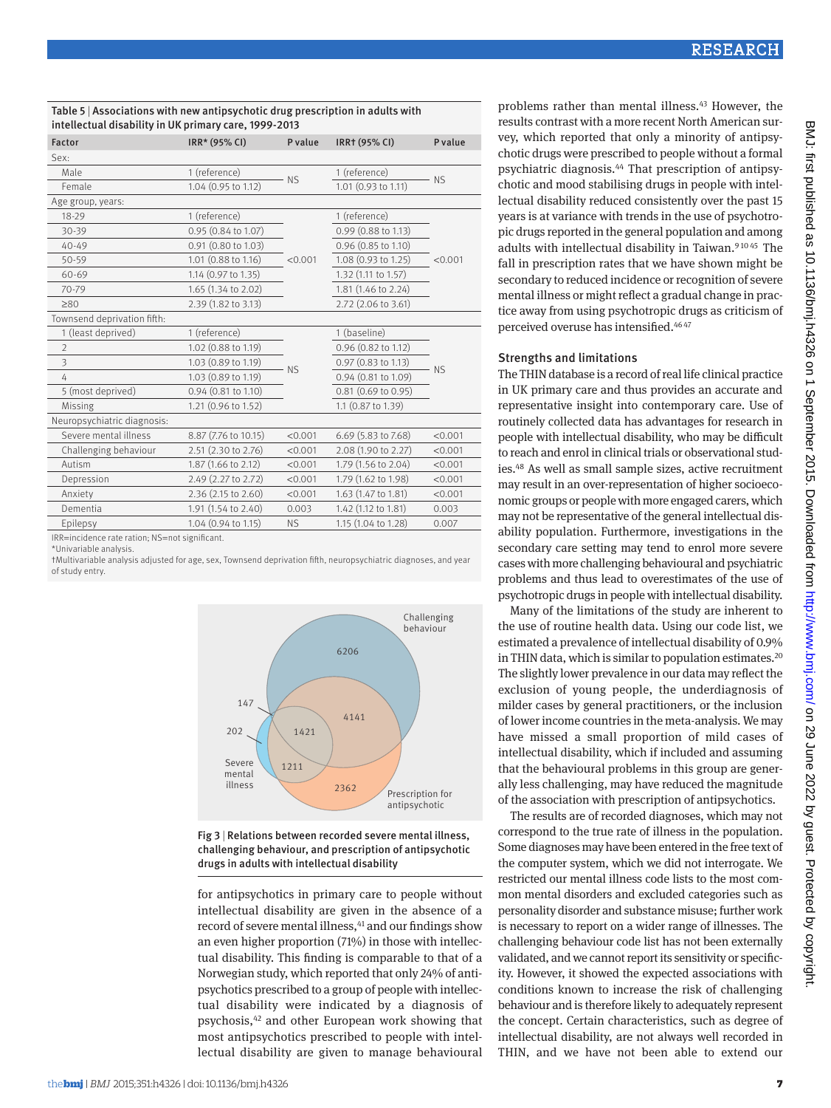## Table 5 | Associations with new antipsychotic drug prescription in adults with intellectual disability in UK primary care, 1999-2013

| $m$ chechdar disability in on primary care, 1777-2015 |                       |           |                      |           |
|-------------------------------------------------------|-----------------------|-----------|----------------------|-----------|
| <b>Factor</b>                                         | IRR* (95% CI)         | P value   | <b>IRR1 (95% CI)</b> | P value   |
| Sex:                                                  |                       |           |                      |           |
| Male                                                  | 1 (reference)         | <b>NS</b> | 1 (reference)        | <b>NS</b> |
| Female                                                | 1.04 (0.95 to 1.12)   |           | 1.01 (0.93 to 1.11)  |           |
| Age group, years:                                     |                       |           |                      |           |
| 18-29                                                 | 1 (reference)         |           | 1 (reference)        | < 0.001   |
| $30 - 39$                                             | 0.95 (0.84 to 1.07)   |           | 0.99 (0.88 to 1.13)  |           |
| 40-49                                                 | 0.91 (0.80 to 1.03)   |           | 0.96 (0.85 to 1.10)  |           |
| 50-59                                                 | $1.01$ (0.88 to 1.16) | < 0.001   | 1.08 (0.93 to 1.25)  |           |
| $60 - 69$                                             | 1.14 (0.97 to 1.35)   |           | 1.32 (1.11 to 1.57)  |           |
| 70-79                                                 | 1.65 (1.34 to 2.02)   |           | 1.81 (1.46 to 2.24)  |           |
| $\geq 80$                                             | 2.39 (1.82 to 3.13)   |           | 2.72 (2.06 to 3.61)  |           |
| Townsend deprivation fifth:                           |                       |           |                      |           |
| 1 (least deprived)                                    | 1 (reference)         |           | 1 (baseline)         | <b>NS</b> |
| $\overline{2}$                                        | 1.02 (0.88 to 1.19)   |           | 0.96 (0.82 to 1.12)  |           |
| 3                                                     | 1.03 (0.89 to 1.19)   | <b>NS</b> | 0.97 (0.83 to 1.13)  |           |
| 4                                                     | 1.03 (0.89 to 1.19)   |           | 0.94 (0.81 to 1.09)  |           |
| 5 (most deprived)                                     | 0.94 (0.81 to 1.10)   |           | 0.81 (0.69 to 0.95)  |           |
| Missing                                               | 1.21 (0.96 to 1.52)   |           | 1.1 (0.87 to 1.39)   |           |
| Neuropsychiatric diagnosis:                           |                       |           |                      |           |
| Severe mental illness                                 | 8.87 (7.76 to 10.15)  | < 0.001   | 6.69 (5.83 to 7.68)  | < 0.001   |
| Challenging behaviour                                 | 2.51 (2.30 to 2.76)   | < 0.001   | 2.08 (1.90 to 2.27)  | < 0.001   |
| Autism                                                | 1.87 (1.66 to 2.12)   | < 0.001   | 1.79 (1.56 to 2.04)  | < 0.001   |
| Depression                                            | 2.49 (2.27 to 2.72)   | < 0.001   | 1.79 (1.62 to 1.98)  | < 0.001   |
| Anxiety                                               | 2.36 (2.15 to 2.60)   | < 0.001   | 1.63 (1.47 to 1.81)  | < 0.001   |
| Dementia                                              | 1.91 (1.54 to 2.40)   | 0.003     | 1.42 (1.12 to 1.81)  | 0.003     |
| Epilepsy                                              | 1.04 (0.94 to 1.15)   | <b>NS</b> | 1.15 (1.04 to 1.28)  | 0.007     |

IRR=incidence rate ration; NS=not significant.

\*Univariable analysis.

†Multivariable analysis adjusted for age, sex, Townsend deprivation fifth, neuropsychiatric diagnoses, and year of study entry.



Fig 3 | Relations between recorded severe mental illness, challenging behaviour, and prescription of antipsychotic drugs in adults with intellectual disability

for antipsychotics in primary care to people without intellectual disability are given in the absence of a record of severe mental illness,<sup>41</sup> and our findings show an even higher proportion (71%) in those with intellectual disability. This finding is comparable to that of a Norwegian study, which reported that only 24% of antipsychotics prescribed to a group of people with intellectual disability were indicated by a diagnosis of psychosis,[42](#page-8-36) and other European work showing that most antipsychotics prescribed to people with intellectual disability are given to manage behavioural

problems rather than mental illness.<sup>43</sup> However, the results contrast with a more recent North American survey, which reported that only a minority of antipsychotic drugs were prescribed to people without a formal psychiatric diagnosis[.44](#page-8-38) That prescription of antipsychotic and mood stabilising drugs in people with intellectual disability reduced consistently over the past 15 years is at variance with trends in the use of psychotropic drugs reported in the general population and among adults with intellectual disability in Taiwan.<sup>[9](#page-8-6)[10](#page-8-7)[45](#page-8-39)</sup> The fall in prescription rates that we have shown might be secondary to reduced incidence or recognition of severe mental illness or might reflect a gradual change in practice away from using psychotropic drugs as criticism of perceived overuse has intensified[.46](#page-8-40) [47](#page-8-41)

# Strengths and limitations

The THIN database is a record of real life clinical practice in UK primary care and thus provides an accurate and representative insight into contemporary care. Use of routinely collected data has advantages for research in people with intellectual disability, who may be difficult to reach and enrol in clinical trials or observational studies.[48](#page-8-42) As well as small sample sizes, active recruitment may result in an over-representation of higher socioeconomic groups or people with more engaged carers, which may not be representative of the general intellectual disability population. Furthermore, investigations in the secondary care setting may tend to enrol more severe cases with more challenging behavioural and psychiatric problems and thus lead to overestimates of the use of psychotropic drugs in people with intellectual disability.

Many of the limitations of the study are inherent to the use of routine health data. Using our code list, we estimated a prevalence of intellectual disability of 0.9% in THIN data, which is similar to population estimates.<sup>20</sup> The slightly lower prevalence in our data may reflect the exclusion of young people, the underdiagnosis of milder cases by general practitioners, or the inclusion of lower income countries in the meta-analysis. We may have missed a small proportion of mild cases of intellectual disability, which if included and assuming that the behavioural problems in this group are generally less challenging, may have reduced the magnitude of the association with prescription of antipsychotics.

The results are of recorded diagnoses, which may not correspond to the true rate of illness in the population. Some diagnoses may have been entered in the free text of the computer system, which we did not interrogate. We restricted our mental illness code lists to the most common mental disorders and excluded categories such as personality disorder and substance misuse; further work is necessary to report on a wider range of illnesses. The challenging behaviour code list has not been externally validated, and we cannot report its sensitivity or specificity. However, it showed the expected associations with conditions known to increase the risk of challenging behaviour and is therefore likely to adequately represent the concept. Certain characteristics, such as degree of intellectual disability, are not always well recorded in THIN, and we have not been able to extend our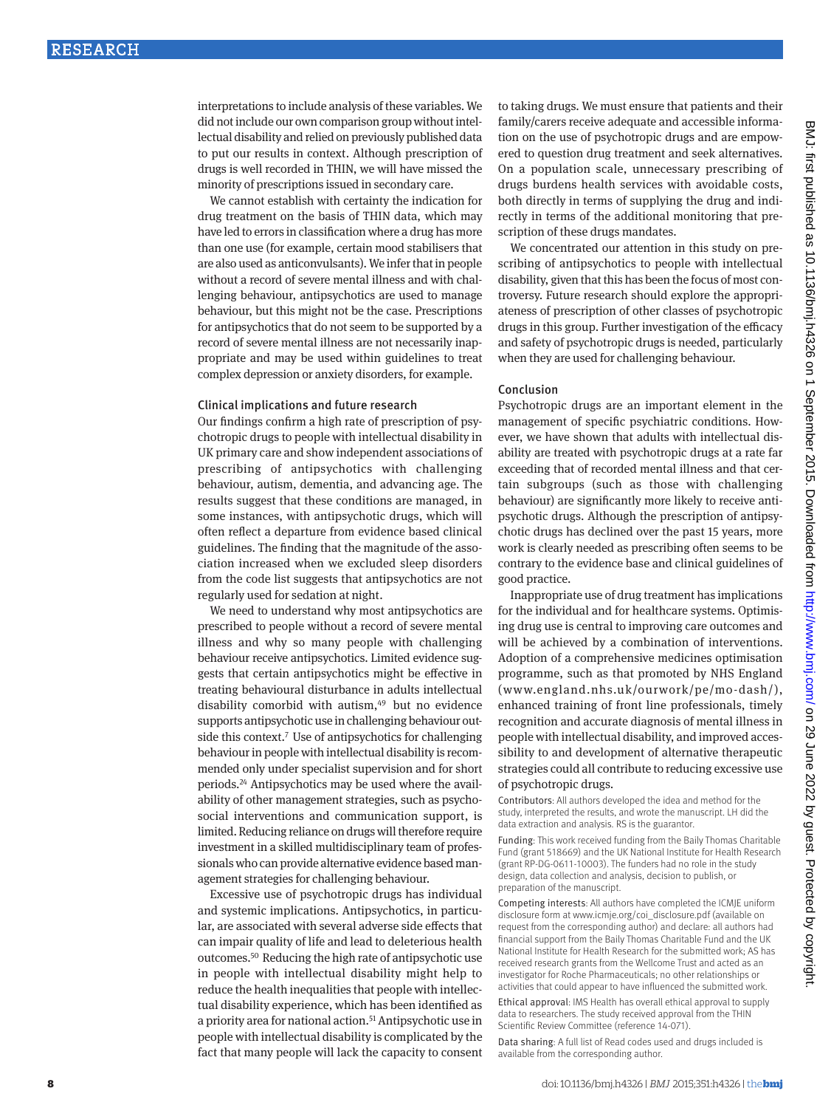interpretations to include analysis of these variables. We did not include our own comparison group without intellectual disability and relied on previously published data to put our results in context. Although prescription of drugs is well recorded in THIN, we will have missed the minority of prescriptions issued in secondary care.

We cannot establish with certainty the indication for drug treatment on the basis of THIN data, which may have led to errors in classification where a drug has more than one use (for example, certain mood stabilisers that are also used as anticonvulsants). We infer that in people without a record of severe mental illness and with challenging behaviour, antipsychotics are used to manage behaviour, but this might not be the case. Prescriptions for antipsychotics that do not seem to be supported by a record of severe mental illness are not necessarily inappropriate and may be used within guidelines to treat complex depression or anxiety disorders, for example.

#### Clinical implications and future research

Our findings confirm a high rate of prescription of psychotropic drugs to people with intellectual disability in UK primary care and show independent associations of prescribing of antipsychotics with challenging behaviour, autism, dementia, and advancing age. The results suggest that these conditions are managed, in some instances, with antipsychotic drugs, which will often reflect a departure from evidence based clinical guidelines. The finding that the magnitude of the association increased when we excluded sleep disorders from the code list suggests that antipsychotics are not regularly used for sedation at night.

We need to understand why most antipsychotics are prescribed to people without a record of severe mental illness and why so many people with challenging behaviour receive antipsychotics. Limited evidence suggests that certain antipsychotics might be effective in treating behavioural disturbance in adults intellectual disability comorbid with autism,<sup>[49](#page-8-43)</sup> but no evidence supports antipsychotic use in challenging behaviour outside this context.<sup>7</sup> Use of antipsychotics for challenging behaviour in people with intellectual disability is recommended only under specialist supervision and for short periods.[24](#page-8-21) Antipsychotics may be used where the availability of other management strategies, such as psychosocial interventions and communication support, is limited. Reducing reliance on drugs will therefore require investment in a skilled multidisciplinary team of professionals who can provide alternative evidence based management strategies for challenging behaviour.

Excessive use of psychotropic drugs has individual and systemic implications. Antipsychotics, in particular, are associated with several adverse side effects that can impair quality of life and lead to deleterious health outcomes.[50](#page-8-44) Reducing the high rate of antipsychotic use in people with intellectual disability might help to reduce the health inequalities that people with intellectual disability experience, which has been identified as a priority area for national action.[51](#page-8-45) Antipsychotic use in people with intellectual disability is complicated by the fact that many people will lack the capacity to consent to taking drugs. We must ensure that patients and their family/carers receive adequate and accessible information on the use of psychotropic drugs and are empowered to question drug treatment and seek alternatives. On a population scale, unnecessary prescribing of drugs burdens health services with avoidable costs, both directly in terms of supplying the drug and indirectly in terms of the additional monitoring that prescription of these drugs mandates.

We concentrated our attention in this study on prescribing of antipsychotics to people with intellectual disability, given that this has been the focus of most controversy. Future research should explore the appropriateness of prescription of other classes of psychotropic drugs in this group. Further investigation of the efficacy and safety of psychotropic drugs is needed, particularly when they are used for challenging behaviour.

## Conclusion

Psychotropic drugs are an important element in the management of specific psychiatric conditions. However, we have shown that adults with intellectual disability are treated with psychotropic drugs at a rate far exceeding that of recorded mental illness and that certain subgroups (such as those with challenging behaviour) are significantly more likely to receive antipsychotic drugs. Although the prescription of antipsychotic drugs has declined over the past 15 years, more work is clearly needed as prescribing often seems to be contrary to the evidence base and clinical guidelines of good practice.

Inappropriate use of drug treatment has implications for the individual and for healthcare systems. Optimising drug use is central to improving care outcomes and will be achieved by a combination of interventions. Adoption of a comprehensive medicines optimisation programme, such as that promoted by NHS England ([www.england.nhs.uk/ourwork/pe/mo-dash/](http://www.england.nhs.uk/ourwork/pe/mo-dash/)), enhanced training of front line professionals, timely recognition and accurate diagnosis of mental illness in people with intellectual disability, and improved accessibility to and development of alternative therapeutic strategies could all contribute to reducing excessive use of psychotropic drugs.

Contributors: All authors developed the idea and method for the study, interpreted the results, and wrote the manuscript. LH did the data extraction and analysis. RS is the guarantor.

Funding: This work received funding from the Baily Thomas Charitable Fund (grant 518669) and the UK National Institute for Health Research (grant RP-DG-0611-10003). The funders had no role in the study design, data collection and analysis, decision to publish, or preparation of the manuscript.

Competing interests: All authors have completed the ICMJE uniform disclosure form at [www.icmje.org/coi\\_disclosure.pdf](http://www.icmje.org/coi_disclosure.pdf) (available on request from the corresponding author) and declare: all authors had financial support from the Baily Thomas Charitable Fund and the UK National Institute for Health Research for the submitted work; AS has received research grants from the Wellcome Trust and acted as an investigator for Roche Pharmaceuticals; no other relationships or activities that could appear to have influenced the submitted work.

Ethical approval: IMS Health has overall ethical approval to supply data to researchers. The study received approval from the THIN Scientific Review Committee (reference 14-071).

Data sharing: A full list of Read codes used and drugs included is available from the corresponding author.